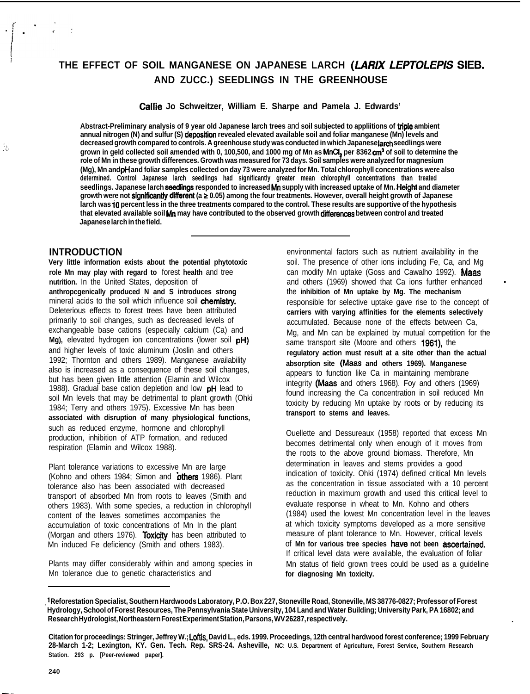# THE EFFECT OF SOIL MANGANESE ON JAPANESE LARCH (LARIX LEPTOLEPIS SIEB. **AND ZUCC.) SEEDLINGS IN THE GREENHOUSE**

#### **Callie Jo Schweitzer, William E. Sharpe and Pamela J. Edwards'**

**Abstract-Preliminary analysis of 9 year old Japanese larch trees** and **soil subjected to appliitions of triple ambient annual nitrogen (N) and sulfur (S) deposftfon revealed elevated available soil and foliar manganese (Mn) levels and** decreased growth compared to controls. A greenhouse study was conducted in which Japaneselarch seedlings were **grown in geld collected soil amended with 0, 100,500, and 1000 mg of Mn as MnCI, per 8362 cm' of soil to determine the role of Mn in these growth differences. Growth was measured for 73 days. Soil samples were analyzed for magnesium (Mg), Mn and pH and foliar samples collected on day 73 were analyzed for Mn. Total chlorophyll concentrations were also determined. Control Japanese larch seedlings had significantly greater mean chlorophyll concentrations than treated** seedlings. Japanese larch seedlings responded to increased Mn supply with increased uptake of Mn. Height and diameter growth were not significantly different (a  $\geq$  0.05) among the four treatments. However, overall height growth of Japanese **larch was i0 percent less in the three treatments compared to the control. These results are supportive of the hypothesis that elevated available soil Mn may have contributed to the observed growth differences between control and treated Japanese larch in the field.**

### **INTRODUCTION**

 $\mathcal{L}_{\mathcal{L}}$ 

**Very little information exists about the potential phytotoxic role Mn may play with regard to** forest **health** and tree **nutrition.** In the United States, deposition of **anthropcgenically produced N and S introduces strong** mineral acids to the soil which influence soil chemistry. Deleterious effects to forest trees have been attributed primarily to soil changes, such as decreased levels of exchangeable base cations (especially calcium (Ca) and **Mg),** elevated hydrogen ion concentrations (lower soil pH) and higher levels of toxic aluminum (Joslin and others 1992; Thornton and others 1989). Manganese availability also is increased as a consequence of these soil changes, but has been given little attention (Elamin and Wilcox 1988). Gradual base cation depletion and low pH lead to soil Mn levels that may be detrimental to plant growth (Ohki 1984; Terry and others 1975). Excessive Mn has been **associated with disruption of many physiological functions,** such as reduced enzyme, hormone and chlorophyll production, inhibition of ATP formation, and reduced respiration (Elamin and Wilcox 1988).

Plant tolerance variations to excessive Mn are large (Kohno and others 1984; Simon and others 1986). Plant tolerance also has been associated with decreased transport of absorbed Mn from roots to leaves (Smith and others 1983). With some species, a reduction in chlorophyll content of the leaves sometimes accompanies the accumulation of toxic concentrations of Mn In the plant (Morgan and others 1976). Toxicity has been attributed to Mn induced Fe deficiency (Smith and others 1983).

Plants may differ considerably within and among species in Mn tolerance due to genetic characteristics and

environmental factors such as nutrient availability in the soil. The presence of other ions including Fe, Ca, and Mg can modify Mn uptake (Goss and Cawalho 1992). Maas and others (1969) showed that Ca ions further enhanced the **inhibition of Mn uptake by Mg. The mechanism** responsible for selective uptake gave rise to the concept of **carriers with varying affinities for the elements selectively** accumulated. Because none of the effects between Ca, Mg, and Mn can be explained by mutual competition for the same transport site (Moore and others 1961), the **regulatory action must result at a site other than the actual absorption site (Maas and others 1969). Manganese** appears to function like Ca in maintaining membrane integrity (Maas and others 1968). Foy and others (1969) found increasing the Ca concentration in soil reduced Mn toxicity by reducing Mn uptake by roots or by reducing its **transport to stems and leaves.**

Ouellette and Dessureaux (1958) reported that excess Mn becomes detrimental only when enough of it moves from the roots to the above ground biomass. Therefore, Mn determination in leaves and stems provides a good indication of toxicity. Ohki (1974) defined critical Mn levels as the concentration in tissue associated with a 10 percent reduction in maximum growth and used this critical level to evaluate response in wheat to Mn. Kohno and others (1984) used the lowest Mn concentration level in the leaves at which toxicity symptoms developed as a more sensitive measure of plant tolerance to Mn. However, critical levels of Mn for various tree species have not been ascertained. If critical level data were available, the evaluation of foliar Mn status of field grown trees could be used as a guideline **for diagnosing Mn toxicity.**

**<sup>&#</sup>x27; Reforestation Specialist, Southern Hardwoods Laboratory, P.O. Box 227, Stoneville Road, Stoneville, MS 38776-0827; Professor of Forest ' Hydrology, School of Forest Resources, The Pennsylvania State University, 104 Land and Water Building; University Park, PA 16802; and Research Hydrologist, Northeastern Forest Experiment Station, Parsons, WV 26287, respectively. .**

**Citation for proceedings: Stringer, Jeffrey W.; Loftis, David L., eds. 1999. Proceedings, 12th central hardwood forest conference; 1999 February 28-March 1-2; Lexington, KY. Gen. Tech. Rep. SRS-24. Asheville, NC: U.S. Department of Agriculture, Forest Service, Southern Research Station. 293 p. [Peer-reviewed paper].**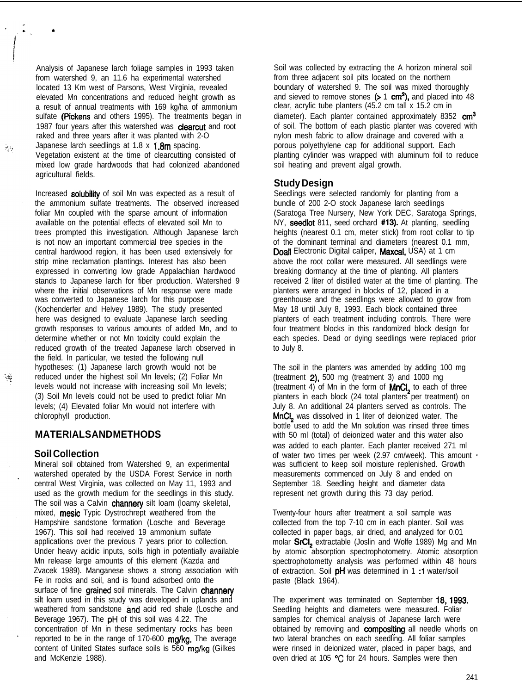Analysis of Japanese larch foliage samples in 1993 taken from watershed 9, an 11.6 ha experimental watershed located 13 Km west of Parsons, West Virginia, revealed elevated Mn concentrations and reduced height growth as a result of annual treatments with 169 kg/ha of ammonium sulfate (Pickens and others 1995). The treatments began in 1987 four years after this watershed was clearcut and root raked and three years after it was planted with 2-O Japanese larch seedlings at 1.8  $\times$  1.8m spacing. Vegetation existent at the time of clearcutting consisted of mixed low grade hardwoods that had colonized abandoned agricultural fields.

Increased solubility of soil Mn was expected as a result of the ammonium sulfate treatments. The observed increased foliar Mn coupled with the sparse amount of information available on the potential effects of elevated soil Mn to trees prompted this investigation. Although Japanese larch is not now an important commercial tree species in the central hardwood region, it has been used extensively for strip mine reclamation plantings. Interest has also been expressed in converting low grade Appalachian hardwood stands to Japanese larch for fiber production. Watershed 9 where the initial observations of Mn response were made was converted to Japanese larch for this purpose (Kochenderfer and Helvey 1989). The study presented here was designed to evaluate Japanese larch seedling growth responses to various amounts of added Mn, and to determine whether or not Mn toxicity could explain the reduced growth of the treated Japanese larch observed in the field. In particular, we tested the following null hypotheses: (1) Japanese larch growth would not be reduced under the highest soil Mn levels; (2) Foliar Mn levels would not increase with increasing soil Mn levels; (3) Soil Mn levels could not be used to predict foliar Mn levels; (4) Elevated foliar Mn would not interfere with chlorophyll production.

# **MATERIALS AND METHODS**

# **Soil Collection**

.

9G)

 $\mathcal{L}_{\mathcal{G}}$ 

Mineral soil obtained from Watershed 9, an experimental watershed operated by the USDA Forest Service in north central West Virginia, was collected on May 11, 1993 and used as the growth medium for the seedlings in this study. The soil was a Calvin channery silt loam (loamy skeletal, mixed, **mesic** Typic Dystrochrept weathered from the Hampshire sandstone formation (Losche and Beverage 1967). This soil had received 19 ammonium sulfate applications over the previous 7 years prior to collection. Under heavy acidic inputs, soils high in potentially available Mn release large amounts of this element (Kazda and Zvacek 1989). Manganese shows a strong association with Fe in rocks and soil, and is found adsorbed onto the surface of fine grained soil minerals. The Calvin channery silt loam used in this study was developed in uplands and weathered from sandstone and acid red shale (Losche and Beverage 1967). The pH of this soil was 4.22. The concentration of Mn in these sedimentary rocks has been reported to be in the range of 170-600 ma/ka. The average content of United States surface soils is 560 mg/kg (Gilkes and McKenzie 1988).

Soil was collected by extracting the A horizon mineral soil from three adjacent soil pits located on the northern boundary of watershed 9. The soil was mixed thoroughly and sieved to remove stones  $(> 1$  cm<sup>2</sup>), and placed into 48 clear, acrylic tube planters (45.2 cm tall x 15.2 cm in diameter). Each planter contained approximately 8352  $cm<sup>3</sup>$ of soil. The bottom of each plastic planter was covered with nylon mesh fabric to allow drainage and covered with a porous polyethylene cap for additional support. Each planting cylinder was wrapped with aluminum foil to reduce soil heating and prevent algal growth.

# **Study Design**

Seedlings were selected randomly for planting from a bundle of 200 2-O stock Japanese larch seedlings (Saratoga Tree Nursery, New York DEC, Saratoga Springs, NY, seedlot 811, seed orchard #13). At planting, seedling heights (nearest 0.1 cm, meter stick) from root collar to tip of the dominant terminal and diameters (nearest 0.1 mm, Doall Electronic Digital caliper, Maxcal, USA) at 1 cm above the root collar were measured. All seedlings were breaking dormancy at the time of planting. All planters received 2 liter of distilled water at the time of planting. The planters were arranged in blocks of 12, placed in a greenhouse and the seedlings were allowed to grow from May 18 until July 8, 1993. Each block contained three planters of each treatment including controls. There were four treatment blocks in this randomized block design for each species. Dead or dying seedlings were replaced prior to July 8.

The soil in the planters was amended by adding 100 mg (treatment  $2$ ), 500 mg (treatment 3) and 1000 mg (treatment 4) of Mn in the form of MnCI<sub>2</sub> to each of three planters in each block (24 total planters per treatment) on July 8. An additional 24 planters served as controls. The MnCI<sub>2</sub> was dissolved in 1 liter of deionized water. The bottle used to add the Mn solution was rinsed three times with 50 ml (total) of deionized water and this water also was added to each planter. Each planter received 271 ml of water two times per week (2.97 cm/week). This amount was sufficient to keep soil moisture replenished. Growth measurements commenced on July 8 and ended on September 18. Seedling height and diameter data represent net growth during this 73 day period.

Twenty-four hours after treatment a soil sample was collected from the top 7-10 cm in each planter. Soil was collected in paper bags, air dried, and analyzed for 0.01 molar SrCI<sub>2</sub> extractable (Joslin and Wolfe 1989) Mg and Mn by atomic absorption spectrophotometry. Atomic absorption spectrophotometty analysis was performed within 48 hours of extraction. Soil pH was determined in 1:1 water/soil paste (Black 1964).

The experiment was terminated on September 18, 1993. Seedling heights and diameters were measured. Foliar samples for chemical analysis of Japanese larch were obtained by removing and compositing all needle whorls on two lateral branches on each seedling. All foliar samples were rinsed in deionized water, placed in paper bags, and oven dried at 105 °C for 24 hours. Samples were then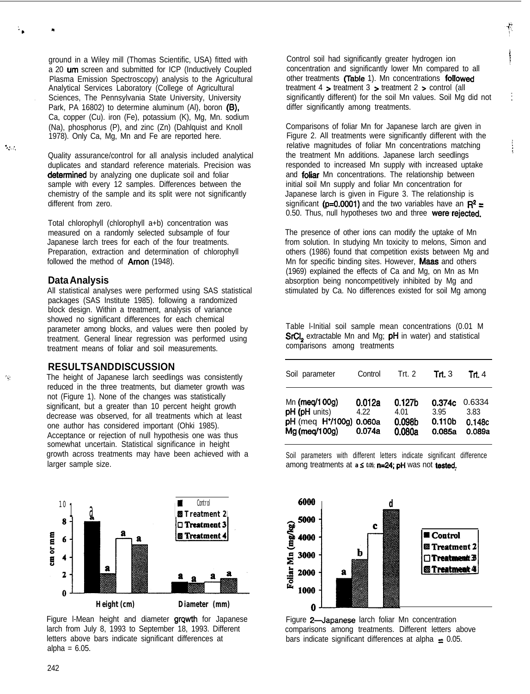ground in a Wiley mill (Thomas Scientific, USA) fitted with a 20 um screen and submitted for ICP (Inductively Coupled Plasma Emission Spectroscopy) analysis to the Agricultural Analytical Services Laboratory (College of Agricultural . Sciences, The Pennsylvania State University, University Park, PA 16802) to determine aluminum  $(AI)$ , boron  $(B)$ , Ca, copper (Cu). iron (Fe), potassium (K), Mg, Mn. sodium (Na), phosphorus (P), and zinc (Zn) (Dahlquist and Knoll 1978). Only Ca, Mg, Mn and Fe are reported here.

Quality assurance/control for all analysis included analytical duplicates and standard reference materials. Precision was determined by analyzing one duplicate soil and foliar sample with every 12 samples. Differences between the chemistry of the sample and its split were not significantly different from zero.

Total chlorophyll (chlorophyll a+b) concentration was measured on a randomly selected subsample of four Japanese larch trees for each of the four treatments. Preparation, extraction and determination of chlorophyll followed the method of **Arnon** (1948).

#### **Data Analysis**

All statistical analyses were performed using SAS statistical packages (SAS Institute 1985). following a randomized block design. Within a treatment, analysis of variance showed no significant differences for each chemical parameter among blocks, and values were then pooled by treatment. General linear regression was performed using treatment means of foliar and soil measurements.

# **RESULTS AND DISCUSSION**

The height of Japanese larch seedlings was consistently reduced in the three treatments, but diameter growth was not (Figure 1). None of the changes was statistically significant, but a greater than 10 percent height growth decrease was observed, for all treatments which at least one author has considered important (Ohki 1985). Acceptance or rejection of null hypothesis one was thus somewhat uncertain. Statistical significance in height growth across treatments may have been achieved with a larger sample size.



Figure I-Mean height and diameter growth for Japanese larch from July 8, 1993 to September 18, 1993. Different letters above bars indicate significant differences at alpha =  $6.05$ .

Control soil had significantly greater hydrogen ion concentration and significantly lower Mn compared to all other treatments (Table 1). Mn concentrations followed treatment 4 > treatment 3 > treatment 2 > control (all significantly different) for the soil Mn values. Soil Mg did not differ significantly among treatments.

Comparisons of foliar Mn for Japanese larch are given in Figure 2. All treatments were significantly different with the relative magnitudes of foliar Mn concentrations matching the treatment Mn additions. Japanese larch seedlings responded to increased Mn supply with increased uptake and foliar Mn concentrations. The relationship between initial soil Mn supply and foliar Mn concentration for Japanese larch is given in Figure 3. The relationship is significant (p=0.0001) and the two variables have an  $\mathbb{R}^2$  = 0.50. Thus, null hypotheses two and three were rejected.

;

The presence of other ions can modify the uptake of Mn from solution. In studying Mn toxicity to melons, Simon and others (1986) found that competition exists between Mg and Mn for specific binding sites. However, Maas and others (1969) explained the effects of Ca and Mg, on Mn as Mn absorption being noncompetitively inhibited by Mg and stimulated by Ca. No differences existed for soil Mg among

Table l-Initial soil sample mean concentrations (0.01 M SrCI<sub>2</sub> extractable Mn and Mg; pH in water) and statistical comparisons among treatments

| Soil parameter                | Control | Trt. $2$ | Trt. $3$           | Trt. 4 |
|-------------------------------|---------|----------|--------------------|--------|
| Mn (meg/100g)                 | 0.012a  | 0.127b   | 0.374c             | 0.6334 |
| pH (pH units)                 | 4.22    | 4.01     | 3.95               | 3.83   |
| pH (meq H <sup>+</sup> /100g) | 0.060a  | 0.098b   | 0.110 <sub>b</sub> | 0.148c |
| Mg (meg/100g)                 | 0.074a  | 0.080a   | 0.085a             | 0.089a |

Soil parameters with different letters indicate significant difference among treatments at a  $\leq$  0.05; **n=24; pH** was not tested.



Figure 2-Japanese larch foliar Mn concentration comparisons among treatments. Different letters above bars indicate significant differences at alpha  $\pm$  0.05.

 $\cdot$  . . .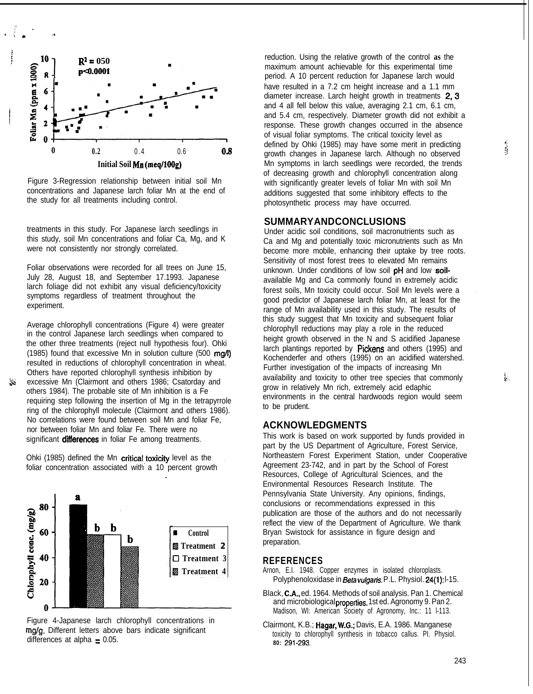

Figure 3-Regression relationship between initial soil Mn concentrations and Japanese larch foliar Mn at the end of the study for all treatments including control.

treatments in this study. For Japanese larch seedlings in this study, soil Mn concentrations and foliar Ca, Mg, and K were not consistently nor strongly correlated.

Foliar observations were recorded for all trees on June 15, July 28, August 18, and September 17.1993. Japanese larch foliage did not exhibit any visual deficiency/toxicity symptoms regardless of treatment throughout the experiment.

Average chlorophyll concentrations (Figure 4) were greater in the control Japanese larch seedlings when compared to the other three treatments (reject null hypothesis four). Ohki (1985) found that excessive Mn in solution culture (500 mg/l) resulted in reductions of chlorophyll concentration in wheat. Others have reported chlorophyll synthesis inhibition by

& excessive Mn (Clairmont and others 1986; Csatorday and others 1984). The probable site of Mn inhibition is a Fe requiring step following the insertion of Mg in the tetrapyrrole ring of the chlorophyll molecule (Clairmont and others 1986). No correlations were found between soil Mn and foliar Fe, nor between foliar Mn and foliar Fe. There were no significant differences in foliar Fe among treatments.

Ohki (1985) defined the Mn critical toxicity level as the foliar concentration associated with a 10 percent growth





reduction. Using the relative growth of the control **as** the maximum amount achievable for this experimental time period. A 10 percent reduction for Japanese larch would have resulted in a 7.2 cm height increase and a 1.1 mm diameter increase. Larch height growth in treatments 2, 3 and 4 all fell below this value, averaging 2.1 cm, 6.1 cm, and 5.4 cm, respectively. Diameter growth did not exhibit a response. These growth changes occurred in the absence of visual foliar symptoms. The critical toxicity level as defined by Ohki (1985) may have some merit in predicting  $\frac{4}{5}$ <br>crowth changes in Japanese Jarch, Although no observed growth changes in Japanese larch. Although no observed Mn symptoms in larch seedlings were recorded, the trends of decreasing growth and chlorophyll concentration along with significantly greater levels of foliar Mn with soil Mn additions suggested that some inhibitory effects to the photosynthetic process may have occurred.

#### **SUMMARY AND CONCLUSIONS**

Under acidic soil conditions, soil macronutrients such as Ca and Mg and potentially toxic micronutrients such as Mn become more mobile, enhancing their uptake by tree roots. Sensitivity of most forest trees to elevated Mn remains unknown. Under conditions of low soil pH and low soilavailable Mg and Ca commonly found in extremely acidic forest soils, Mn toxicity could occur. Soil Mn levels were a . good predictor of Japanese larch foliar Mn, at least for the range of Mn availability used in this study. The results of this study suggest that Mn toxicity and subsequent foliar chlorophyll reductions may play a role in the reduced height growth observed in the N and S acidified Japanese larch plantings reported by Pickens and others (1995) and Kochenderfer and others (1995) on an acidified watershed. Further investigation of the impacts of increasing Mn availability and toxicity to other tree species that commonly  $\ddot{k}$ . grow in relatively Mn rich, extremely acid edaphic environments in the central hardwoods region would seem to be prudent.

# **ACKNOWLEDGMENTS**

This work is based on work supported by funds provided in part by the US Department of Agriculture, Forest Service, Northeastern Forest Experiment Station, under Cooperative Agreement 23-742, and in part by the School of Forest Resources, College of Agricultural Sciences, and the Environmental Resources Research Institute. The Pennsylvania State University. Any opinions, findings, conclusions or recommendations expressed in this publication are those of the authors and do not necessarily reflect the view of the Department of Agriculture. We thank Bryan Swistock for assistance in figure design and preparation.

#### **REFERENCES**

- Arnon, E.I. 1948. Copper enzymes in isolated chloroplasts. Polyphenoloxidase in Beta vulgaris. P.L. Physiol. 24(1): l-15.
- Black, CA., ed. 1964. Methods of soil analysis. Pan 1. Chemical and microbiological properties. 1st ed. Agronomy 9. Pan 2. Madison, WI: American Society of Agronomy, Inc.: 11 l-113.
- Clairmont, K.B.; Hagar, W-G.; Davis, E.A. 1986. Manganese toxicity to chlorophyll synthesis in tobacco callus. PI. Physiol. **80:** 291-293.